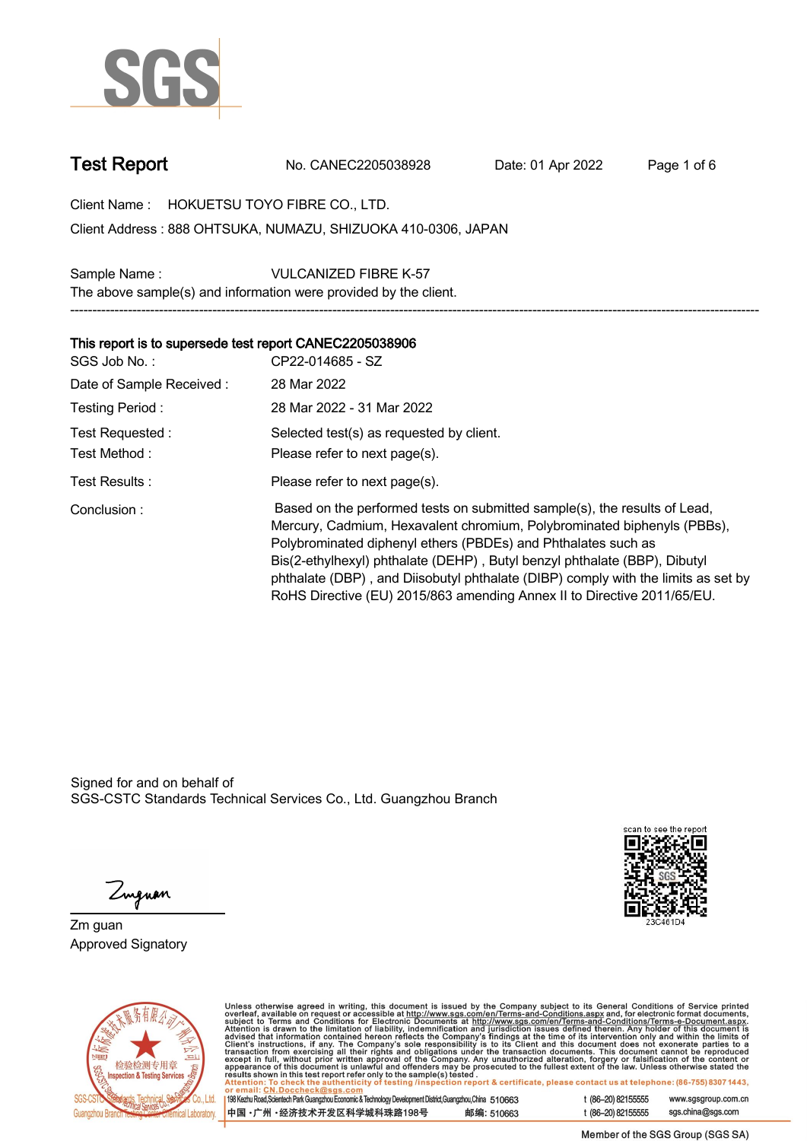

**Test Report. No. CANEC2205038928 . Date: 01 Apr 2022. Page 1 of 6.**

**Client Name : HOKUETSU TOYO FIBRE CO., LTD. .**

**888 OHTSUKA, NUMAZU, SHIZUOKA 410-0306, JAPAN . Client Address :**

**Sample Name : VULCANIZED FIBRE K-57 . The above sample(s) and information were provided by the client. -----------------------------------------------------------------------------------------------------------------------------------------------------------**

## **This report is to supersede test report CANEC2205038906.**

| SGS Job No.:             | CP22-014685 - SZ                                                                                                                                                                                                                                                                                                                                                                                                                                                   |
|--------------------------|--------------------------------------------------------------------------------------------------------------------------------------------------------------------------------------------------------------------------------------------------------------------------------------------------------------------------------------------------------------------------------------------------------------------------------------------------------------------|
| Date of Sample Received: | 28 Mar 2022                                                                                                                                                                                                                                                                                                                                                                                                                                                        |
| Testing Period:          | 28 Mar 2022 - 31 Mar 2022                                                                                                                                                                                                                                                                                                                                                                                                                                          |
| Test Requested:          | Selected test(s) as requested by client.                                                                                                                                                                                                                                                                                                                                                                                                                           |
| Test Method:             | Please refer to next page(s).                                                                                                                                                                                                                                                                                                                                                                                                                                      |
| Test Results:            | Please refer to next page(s).                                                                                                                                                                                                                                                                                                                                                                                                                                      |
| Conclusion:              | Based on the performed tests on submitted sample(s), the results of Lead,<br>Mercury, Cadmium, Hexavalent chromium, Polybrominated biphenyls (PBBs),<br>Polybrominated diphenyl ethers (PBDEs) and Phthalates such as<br>Bis(2-ethylhexyl) phthalate (DEHP), Butyl benzyl phthalate (BBP), Dibutyl<br>phthalate (DBP), and Diisobutyl phthalate (DIBP) comply with the limits as set by<br>RoHS Directive (EU) 2015/863 amending Annex II to Directive 2011/65/EU. |

Signed for and on behalf of SGS-CSTC Standards Technical Services Co., Ltd. Guangzhou Branch.



Zuguan

**Zm guan. Approved Signatory .**



Unless otherwise agreed in writing, this document is issued by the Company subject to its General Conditions of Service printed<br>overleaf, available on request or accessible at http://www.sgs.com/en/Terms-and-Conditions.as

| 198 Kezhu Road,Scientech Park Guangzhou Economic & Technology Development District,Guangzhou,China 510663 |  |            |
|-----------------------------------------------------------------------------------------------------------|--|------------|
| 中国 •广州 •经济技术开发区科学城科珠路198号 )                                                                               |  | 邮编: 510663 |

t (86-20) 82155555 www.sgsgroup.com.cn sgs.china@sgs.com t (86-20) 82155555

Member of the SGS Group (SGS SA)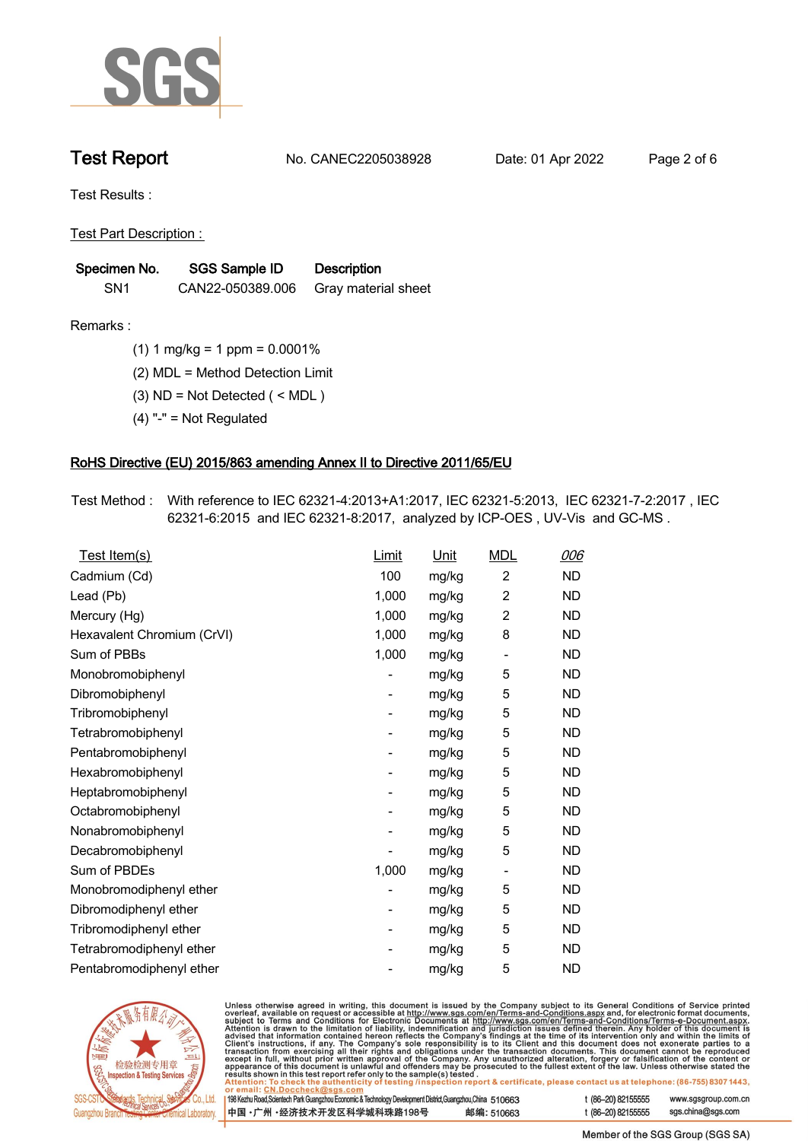

**Test Report. No. CANEC2205038928 . Date: 01 Apr 2022. Page 2 of 6.**

**Test Results :.**

**Test Part Description : .**

| Specimen No.    | <b>SGS Sample ID</b> | <b>Description</b>  |
|-----------------|----------------------|---------------------|
| SN <sub>1</sub> | CAN22-050389.006     | Gray material sheet |

- **Remarks :.(1) 1 mg/kg = 1 ppm = 0.0001% .**
	- **(2) MDL = Method Detection Limit .**
	- **(3) ND = Not Detected ( < MDL ) .**
	- **(4) "-" = Not Regulated .**

## **RoHS Directive (EU) 2015/863 amending Annex II to Directive 2011/65/EU.**

**Test Method :. With reference to IEC 62321-4:2013+A1:2017, IEC 62321-5:2013, IEC 62321-7-2:2017 , IEC 62321-6:2015 and IEC 62321-8:2017, analyzed by ICP-OES , UV-Vis and GC-MS . .**

| Test Item(s)               | <b>Limit</b> | <u>Unit</u> | <b>MDL</b>                   | 006       |
|----------------------------|--------------|-------------|------------------------------|-----------|
| Cadmium (Cd)               | 100          | mg/kg       | $\overline{c}$               | <b>ND</b> |
| Lead (Pb)                  | 1,000        | mg/kg       | $\overline{2}$               | <b>ND</b> |
| Mercury (Hg)               | 1,000        | mg/kg       | $\overline{2}$               | <b>ND</b> |
| Hexavalent Chromium (CrVI) | 1,000        | mg/kg       | 8                            | <b>ND</b> |
| Sum of PBBs                | 1,000        | mg/kg       | $\overline{\phantom{0}}$     | <b>ND</b> |
| Monobromobiphenyl          |              | mg/kg       | 5                            | <b>ND</b> |
| Dibromobiphenyl            | -            | mg/kg       | 5                            | <b>ND</b> |
| Tribromobiphenyl           | -            | mg/kg       | 5                            | <b>ND</b> |
| Tetrabromobiphenyl         |              | mg/kg       | 5                            | <b>ND</b> |
| Pentabromobiphenyl         | -            | mg/kg       | 5                            | <b>ND</b> |
| Hexabromobiphenyl          |              | mg/kg       | 5                            | <b>ND</b> |
| Heptabromobiphenyl         |              | mg/kg       | 5                            | <b>ND</b> |
| Octabromobiphenyl          | -            | mg/kg       | 5                            | <b>ND</b> |
| Nonabromobiphenyl          |              | mg/kg       | 5                            | <b>ND</b> |
| Decabromobiphenyl          |              | mg/kg       | 5                            | <b>ND</b> |
| Sum of PBDEs               | 1,000        | mg/kg       | $\qquad \qquad \blacksquare$ | <b>ND</b> |
| Monobromodiphenyl ether    |              | mg/kg       | 5                            | <b>ND</b> |
| Dibromodiphenyl ether      |              | mg/kg       | 5                            | <b>ND</b> |
| Tribromodiphenyl ether     | -            | mg/kg       | 5                            | <b>ND</b> |
| Tetrabromodiphenyl ether   |              | mg/kg       | 5                            | <b>ND</b> |
| Pentabromodiphenyl ether   |              | mg/kg       | 5                            | <b>ND</b> |



Unless otherwise agreed in writing, this document is issued by the Company subject to its General Conditions of Service printed overleaf, available on request or accessible at http://www.sgs.com/en/Terms-and-Conditions.as

| or email: CN.Doccheck@sgs.com                                                                                |            |                    |                     |
|--------------------------------------------------------------------------------------------------------------|------------|--------------------|---------------------|
| 198 Kezhu Road, Scientech Park Guangzhou Economic & Technology Development District, Guangzhou, China 510663 |            | t (86-20) 82155555 | www.sgsgroup.com.cl |
| ┃中国 •广州 •经济技术开发区科学城科珠路198号 ↓                                                                                 | 邮编: 510663 | t (86-20) 82155555 | sgs.china@sgs.com   |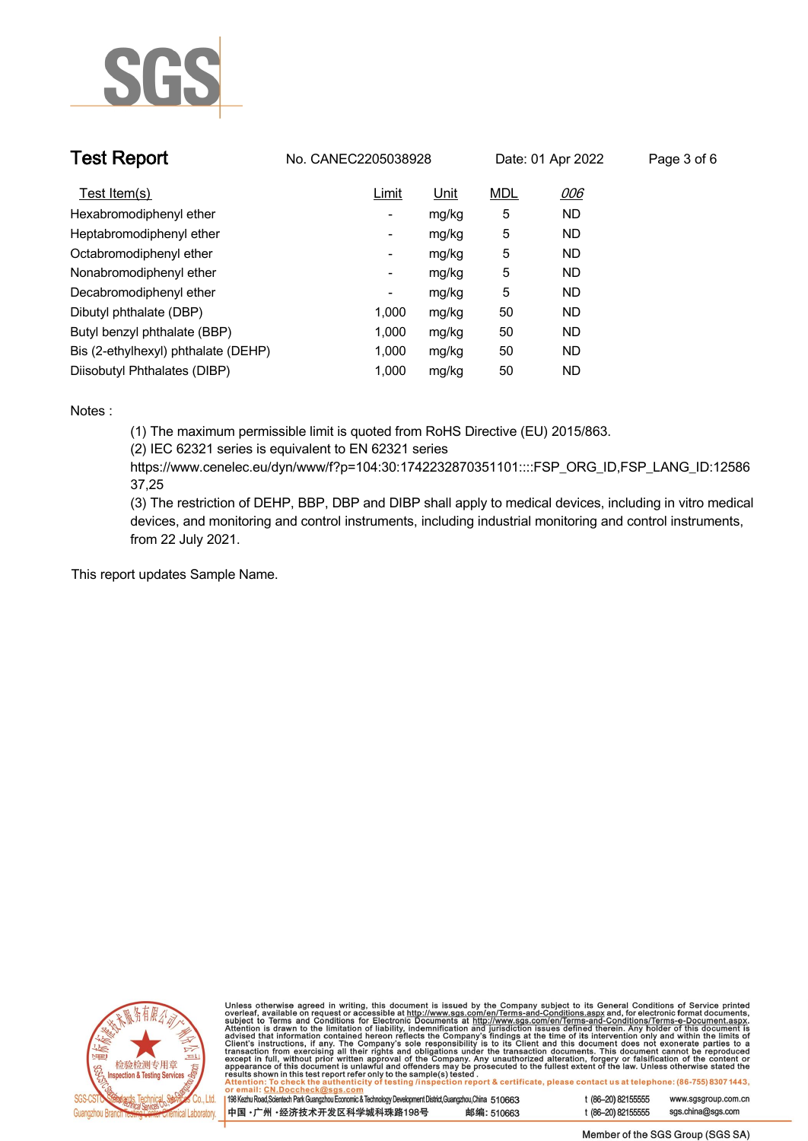

| <b>Test Report</b>                  | No. CANEC2205038928 |       |            | Date: 01 Apr 2022 | Page 3 of 6 |
|-------------------------------------|---------------------|-------|------------|-------------------|-------------|
| Test Item(s)                        | Limit               | Unit  | <b>MDL</b> | 006               |             |
| Hexabromodiphenyl ether             | -                   | mg/kg | 5          | <b>ND</b>         |             |
| Heptabromodiphenyl ether            | Ξ.                  | mg/kg | 5          | <b>ND</b>         |             |
| Octabromodiphenyl ether             | Ξ.                  | mg/kg | 5          | <b>ND</b>         |             |
| Nonabromodiphenyl ether             | -                   | mg/kg | 5          | <b>ND</b>         |             |
| Decabromodiphenyl ether             | -                   | mg/kg | 5          | <b>ND</b>         |             |
| Dibutyl phthalate (DBP)             | 1.000               | mg/kg | 50         | <b>ND</b>         |             |
| Butyl benzyl phthalate (BBP)        | 1.000               | mg/kg | 50         | <b>ND</b>         |             |
| Bis (2-ethylhexyl) phthalate (DEHP) | 1.000               | mg/kg | 50         | <b>ND</b>         |             |
| Diisobutyl Phthalates (DIBP)        | 1.000               | mg/kg | 50         | <b>ND</b>         |             |

### **Notes :.**

**(1) The maximum permissible limit is quoted from RoHS Directive (EU) 2015/863.**

**(2) IEC 62321 series is equivalent to EN 62321 series**

**https://www.cenelec.eu/dyn/www/f?p=104:30:1742232870351101::::FSP\_ORG\_ID,FSP\_LANG\_ID:12586 37,25**

**(3) The restriction of DEHP, BBP, DBP and DIBP shall apply to medical devices, including in vitro medical devices, and monitoring and control instruments, including industrial monitoring and control instruments, from 22 July 2021..**

**This report updates Sample Name. .**



Unless otherwise agreed in writing, this document is issued by the Company subject to its General Conditions of Service printed<br>overleaf, available on request or accessible at http://www.sgs.com/en/Terms-and-Conditions.as

| 198 Kezhu Road, Scientech Park Guangzhou Economic & Technology Development District, Guangzhou, China 510663 |            |
|--------------------------------------------------------------------------------------------------------------|------------|
| 中国・广州 ・经济技术开发区科学城科珠路198号                                                                                     | 邮编: 510663 |

t (86-20) 82155555 www.sgsgroup.com.cn t (86-20) 82155555 sas.china@sas.com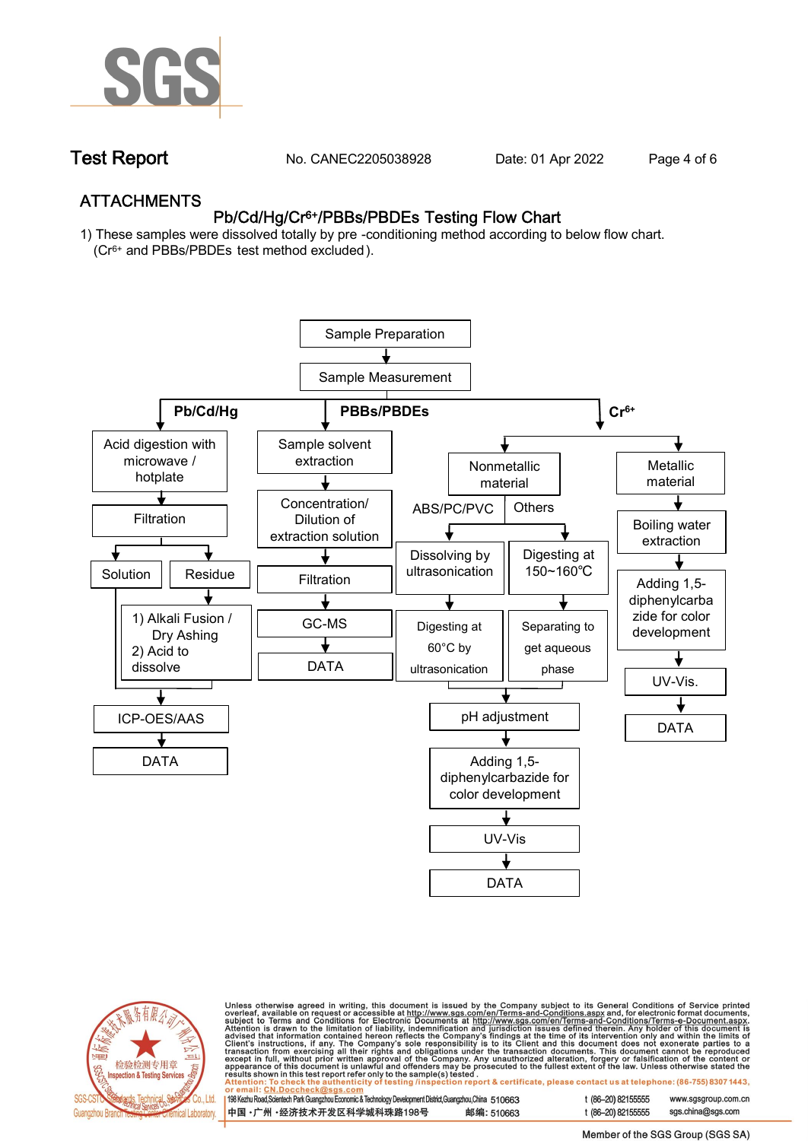

**Test Report. No. CANEC2205038928 . Date: 01 Apr 2022. Page 4 of 6.**

## **ATTACHMENTS Pb/Cd/Hg/Cr6+/PBBs/PBDEs Testing Flow Chart**

**1) These samples were dissolved totally by pre -conditioning method according to below flow chart. (Cr6+ and PBBs/PBDEs test method excluded ).**





Unless otherwise agreed in writing, this document is issued by the Company subject to its General Conditions of Service printed<br>overleaf, available on request or accessible at <u>http://www.sgs.com/en/Terms-and-Conditions.a</u>

| 198 Kezhu Road,Scientech Park Guangzhou Economic & Technology Development District,Guangzhou,China   510663 |            |
|-------------------------------------------------------------------------------------------------------------|------------|
| 中国 •广州 •经济技术开发区科学城科珠路198号 »                                                                                 | 邮编: 510663 |

t (86-20) 82155555 sas.china@sas.com

www.sgsgroup.com.cn

t (86-20) 82155555

Member of the SGS Group (SGS SA)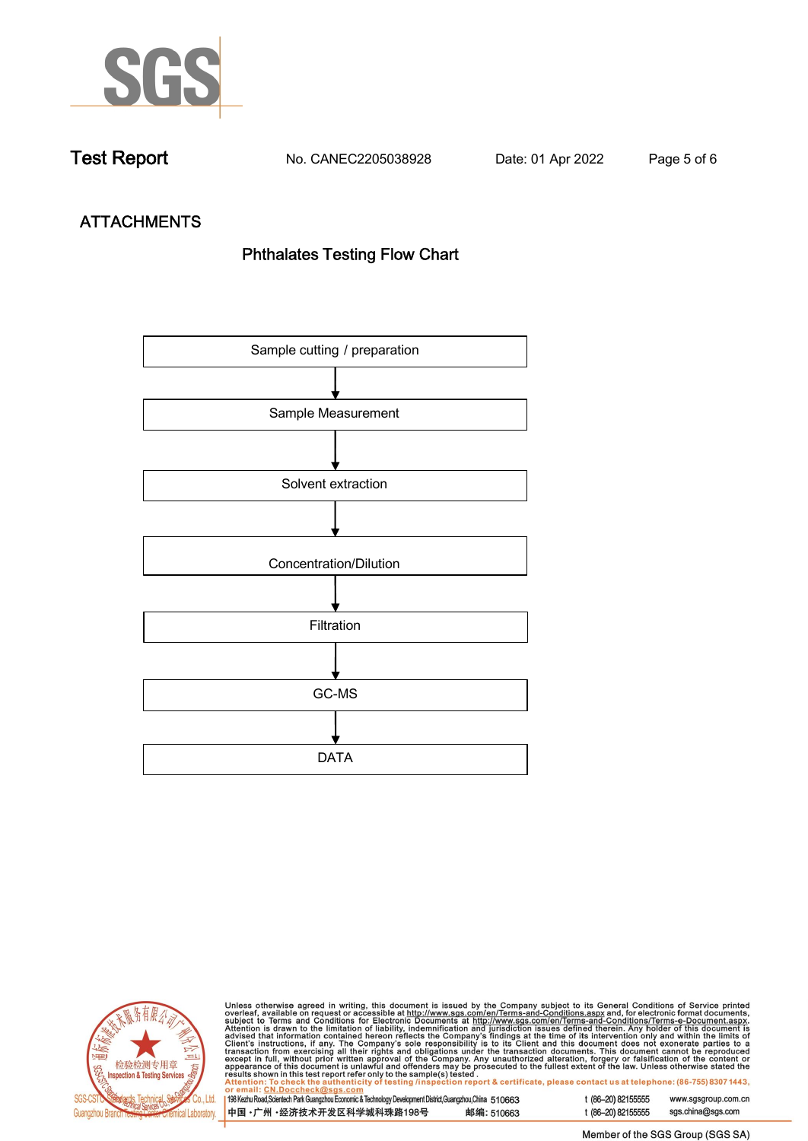

**Test Report. No. CANEC2205038928 . Date: 01 Apr 2022. Page 5 of 6.**

# **ATTACHMENTS Phthalates Testing Flow Chart**





Unless otherwise agreed in writing, this document is issued by the Company subject to its General Conditions of Service printed<br>overleaf, available on request or accessible at http://www.sgs.com/en/Terms-and-Conditions.as

| <u>UI CIIIAII. CN.DUCCIICCRIWSUS.COIII</u>                                                                |            |
|-----------------------------------------------------------------------------------------------------------|------------|
| 198 Kezhu Road,Scientech Park Guangzhou Economic & Technology Development District,Guangzhou,China 510663 |            |
| 中国 •广州 •经济技术开发区科学城科珠路198号                                                                                 | 邮编: 510663 |

t (86-20) 82155555 sgs.china@sgs.com

www.sgsgroup.com.cn

Member of the SGS Group (SGS SA)

t (86-20) 82155555